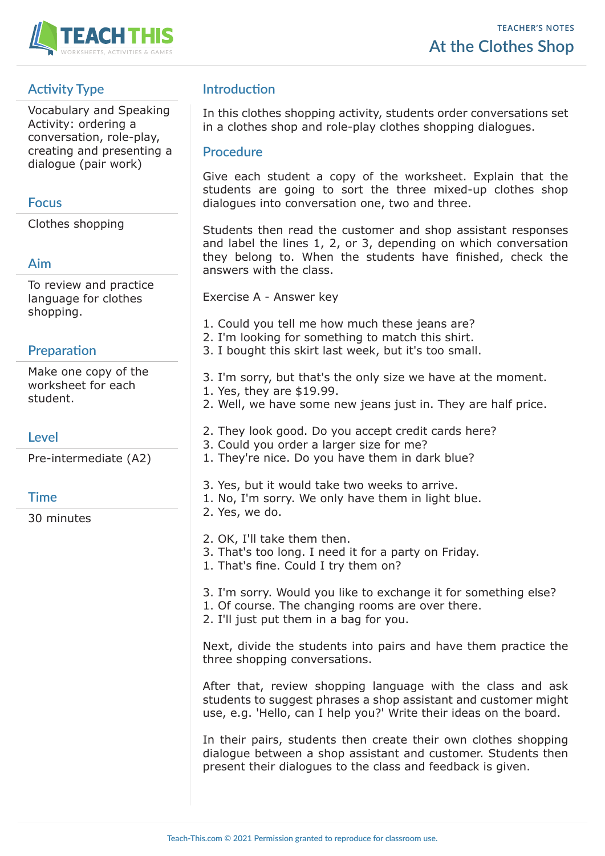

# **Activity Type**

Vocabulary and Speaking Activity: ordering a conversation, role-play, creating and presenting a dialogue (pair work)

#### **Focus**

Clothes shopping

#### **Aim**

To review and practice language for clothes shopping.

## **Preparation**

Make one copy of the worksheet for each student.

## **Level**

Pre-intermediate (A2)

## **Time**

30 minutes

# **Introduction**

In this clothes shopping activity, students order conversations set in a clothes shop and role-play clothes shopping dialogues.

#### **Procedure**

Give each student a copy of the worksheet. Explain that the students are going to sort the three mixed-up clothes shop dialogues into conversation one, two and three.

Students then read the customer and shop assistant responses and label the lines 1, 2, or 3, depending on which conversation they belong to. When the students have finished, check the answers with the class.

Exercise A - Answer key

- 1. Could you tell me how much these jeans are?
- 2. I'm looking for something to match this shirt.
- 3. I bought this skirt last week, but it's too small.
- 3. I'm sorry, but that's the only size we have at the moment. 1. Yes, they are \$19.99.
- 2. Well, we have some new jeans just in. They are half price.
- 2. They look good. Do you accept credit cards here?
- 3. Could you order a larger size for me?
- 1. They're nice. Do you have them in dark blue?
- 3. Yes, but it would take two weeks to arrive.
- 1. No, I'm sorry. We only have them in light blue.
- 2. Yes, we do.
- 2. OK, I'll take them then.
- 3. That's too long. I need it for a party on Friday.
- 1. That's fine. Could I try them on?
- 3. I'm sorry. Would you like to exchange it for something else?
- 1. Of course. The changing rooms are over there.
- 2. I'll just put them in a bag for you.

Next, divide the students into pairs and have them practice the three shopping conversations.

After that, review shopping language with the class and ask students to suggest phrases a shop assistant and customer might use, e.g. 'Hello, can I help you?' Write their ideas on the board.

In their pairs, students then create their own clothes shopping dialogue between a shop assistant and customer. Students then present their dialogues to the class and feedback is given.